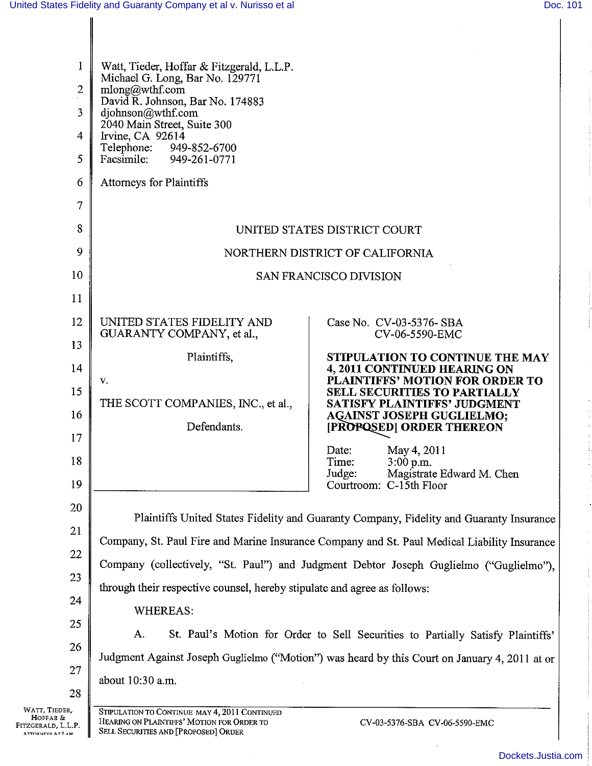$\hat{\boldsymbol{\beta}}$  $\frac{1}{2}$ 

i<br>I

 $\bar{z}$  $\boldsymbol{\cdot}$  $\bar{z}$ 

| $\mathbf{1}$<br>$\overline{2}$<br>3<br>$\overline{4}$ | Watt, Tieder, Hoffar & Fitzgerald, L.L.P.<br>Michael G. Long, Bar No. 129771<br>mlong@wthf.com<br>David R. Johnson, Bar No. 174883<br>djohnson@wthf.com<br>2040 Main Street, Suite 300<br>Irvine, CA 92614<br>Telephone:<br>949-852-6700 |                                                                                               |
|-------------------------------------------------------|------------------------------------------------------------------------------------------------------------------------------------------------------------------------------------------------------------------------------------------|-----------------------------------------------------------------------------------------------|
| 5                                                     | Facsimile:<br>949-261-0771                                                                                                                                                                                                               |                                                                                               |
| 6                                                     | <b>Attorneys for Plaintiffs</b>                                                                                                                                                                                                          |                                                                                               |
| $\overline{7}$                                        |                                                                                                                                                                                                                                          |                                                                                               |
| 8                                                     | UNITED STATES DISTRICT COURT                                                                                                                                                                                                             |                                                                                               |
| 9                                                     |                                                                                                                                                                                                                                          | NORTHERN DISTRICT OF CALIFORNIA                                                               |
| 10                                                    | SAN FRANCISCO DIVISION                                                                                                                                                                                                                   |                                                                                               |
| 11                                                    |                                                                                                                                                                                                                                          |                                                                                               |
| 12                                                    | UNITED STATES FIDELITY AND<br>GUARANTY COMPANY, et al.,                                                                                                                                                                                  | Case No. CV-03-5376- SBA<br>CV-06-5590-EMC                                                    |
| 13                                                    | Plaintiffs,                                                                                                                                                                                                                              | STIPULATION TO CONTINUE THE MAY                                                               |
| 14                                                    | v.                                                                                                                                                                                                                                       | 4, 2011 CONTINUED HEARING ON<br>PLAINTIFFS' MOTION FOR ORDER TO                               |
| 15                                                    | THE SCOTT COMPANIES, INC., et al.,                                                                                                                                                                                                       | <b>SELL SECURITIES TO PARTIALLY</b><br><b>SATISFY PLAINTIFFS' JUDGMENT</b>                    |
| 16                                                    | Defendants.                                                                                                                                                                                                                              | <b>AGAINST JOSEPH GUGLIELMO;</b><br>[PROPOSED] ORDER THEREON                                  |
| 17                                                    |                                                                                                                                                                                                                                          | May 4, 2011<br>Date:                                                                          |
| 18                                                    |                                                                                                                                                                                                                                          | 3:00 p.m.<br>Time:<br>Magistrate Edward M. Chen<br>Judge:                                     |
| 19                                                    |                                                                                                                                                                                                                                          | Courtroom: C-15th Floor                                                                       |
| 20                                                    | Plaintiffs United States Fidelity and Guaranty Company, Fidelity and Guaranty Insurance                                                                                                                                                  |                                                                                               |
| 21                                                    | Company, St. Paul Fire and Marine Insurance Company and St. Paul Medical Liability Insurance                                                                                                                                             |                                                                                               |
| 22                                                    | Company (collectively, "St. Paul") and Judgment Debtor Joseph Guglielmo ("Guglielmo"),                                                                                                                                                   |                                                                                               |
| 23                                                    | through their respective counsel, hereby stipulate and agree as follows:                                                                                                                                                                 |                                                                                               |
| 24                                                    | <b>WHEREAS:</b>                                                                                                                                                                                                                          |                                                                                               |
| 25                                                    | A.<br>St. Paul's Motion for Order to Sell Securities to Partially Satisfy Plaintiffs'                                                                                                                                                    |                                                                                               |
| 26                                                    |                                                                                                                                                                                                                                          | Judgment Against Joseph Guglielmo ("Motion") was heard by this Court on January 4, 2011 at or |
| 27                                                    | about 10:30 a.m.                                                                                                                                                                                                                         |                                                                                               |
| 28<br>WATT, TIEDER,                                   |                                                                                                                                                                                                                                          |                                                                                               |
| HOFFAR &<br>Fitzgerald, L.L.P.<br>ATTORNEYS AT LAW    | STIPULATION TO CONTINUE MAY 4, 2011 CONTINUED<br>HEARING ON PLAINTIFFS' MOTION FOR ORDER TO<br>SELL SECURITIES AND [PROPOSED] ORDER                                                                                                      | CV-03-5376-SBA CV-06-5590-EMC                                                                 |

 $\ddot{\phantom{a}}$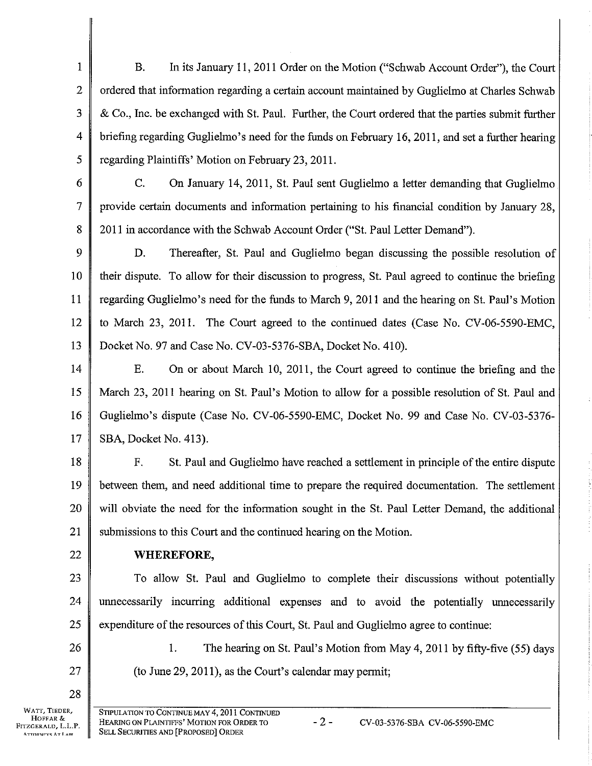1 2 J 4 5 B. In its January 11,2011 Order on the Motion ("Schwab Account Order"), the Court ordered that information regarding a certain account maintained by Guglielmo at Charles Schwab & Co., Inc. be exchanged with St. Paul. Further, the Court ordered that the parties submit further briefing regarding Guglielmo's need for the funds on February 16,2011, and set a further hearing regarding Plaintiffs' Motion on February 23, 2011.

C. On January 14, 2011, St. Paul sent Guglielmo a letter demanding that Guglielmo provide certain documents and information pertaining to his financial condition by January 28, 2011 in accordance with the Schwab Account Order ("St. Paul Letter Demand").

9 10 11 12 13 D. Thereafter, St. Paul and Guglielmo began discussing the possible resolution of their dispute. To allow for their discussion to progress, St. Paul agreed to continue the briefing regarding Guglielmo's need for the funds to March 9,2077 and the hearing on St. Paul's Motion to March 23, 2011. The Court agreed to the continued dates (Case No. CV-06-5590-EMC, Docket No. 97 and Case No. CV-03-5376-SBA, Docket No. 410).

14 15 t6 17 E. On or about March 10, 2011, the Court agreed to continue the briefing and the March 23, 2011 hearing on St. Paul's Motion to allow for a possible resolution of St. Paul and Guglielmo's dispute (Case No. CV-06-5590-EMC, Docket No. 99 and Case No. CV-03-5376- SBA, Docket No. 413).

18 t9 20 21 F. St. Paul and Guglielmo have reached a settlernent in principle ofthe entire dispute between them, and need additional time to prepare the required documentation. The settlement will obviate the need for the information sought in the St. Paul Letter Demand, the additional submissions to this Court and the continued hearing on the Motion.

22

6

7

8

## WHEREFORE,

23 24 25 To allow St. Paul and Guglielmo to complete their discussions without potentially unnecessarily incurring additional expenses and to avoid the potentially unnecessarily expenditure of the resources of this Court, St. Paul and Guglielmo agree to continue:

(to June 29,2011), as the Court's calendar may permit;

1. The hearing on St. Paul's Motion from May 4, 2011 by fifty-five (55) days

27

26

28

WATT, TIEOER, HoFFAR & FITZGERALD, L.L.P.<br>ATTORNEYS AT LAW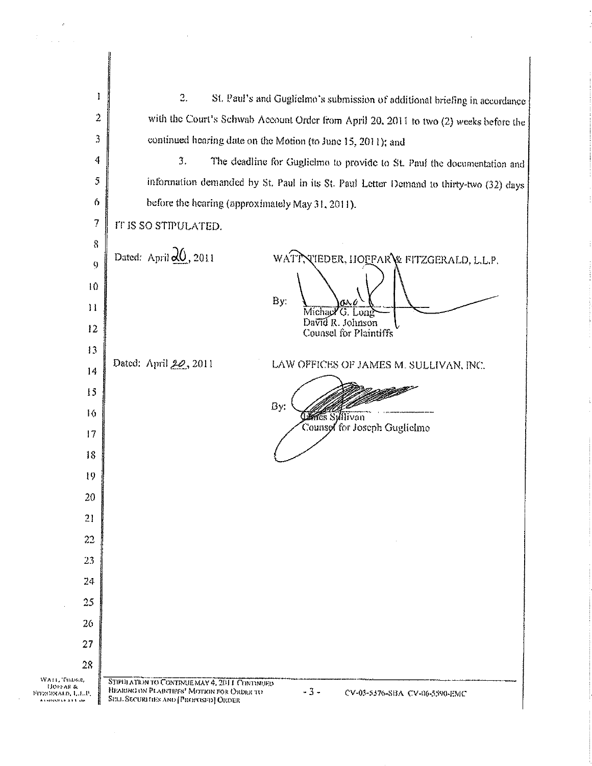T 2. St. Paul's and Guglielmo's submission of additional briefing in accordance  $\overline{2}$ with the Court's Schwab Account Order from April 20, 2011 to two (2) weeks before the continued hearing date on the Motion (to June 15, 2011); and 3 4  $\mathfrak{Z}$ . The deadline for Guglielmo to provide to St. Paul the documentation and 5 information demanded by St. Paul in its St. Paul Letter Demand to thirty-two (32) days before the hearing (approximately May 31, 2011).  $\ddot{\Omega}$  $\overline{7}$ IT IS SO STIPULATED.  $\bar{8}$ Dated: April  $20, 2011$ WATTNIEDER, HOFFARY FITZGERALD, L.L.P.  $\ddot{9}$  $10$ By:  $\mathbf{H}$ Michael G. Long David R. Johnson  $12$ Counsel for Plaintiffs  $13$ Dated: April 20, 2011 LAW OFFICES OF JAMES M. SULLIVAN, INC. 14 15 By: 16 **Charles Sylllivan** Counsel for Joseph Guglielmo  $17$ 18 19 20  $21$ 22 23 24 25 26 27 28 WATE THUME STIPHLATION TO CONTINUE MAY 4, 2011 CONTINUED **HOPPAR &**<br>FIDZGERALD, L.L.P. HEARING ON PLAINTIFFS' MOTION FOR ORDER TO  $-3-$ CV-03-5376-SBA CV-06-5590-EMC SELL SECURITIES AND [PROPOSED] ORDER inverkart in